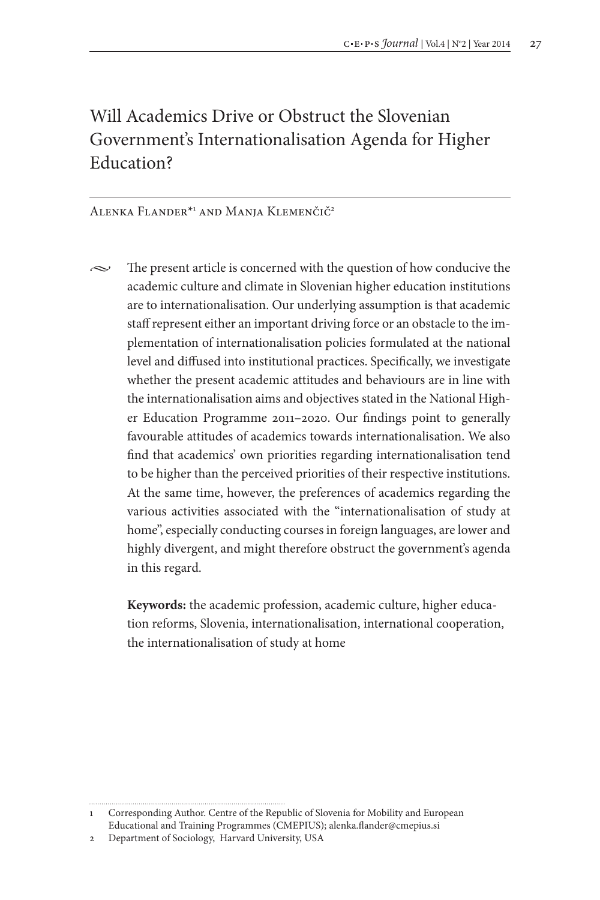# Will Academics Drive or Obstruct the Slovenian Government's Internationalisation Agenda for Higher Education?

## Alenka Flander<sup>\*1</sup> and Manja Klemenčič<sup>2</sup>

 $\sim$  The present article is concerned with the question of how conducive the academic culture and climate in Slovenian higher education institutions are to internationalisation. Our underlying assumption is that academic staff represent either an important driving force or an obstacle to the implementation of internationalisation policies formulated at the national level and diffused into institutional practices. Specifically, we investigate whether the present academic attitudes and behaviours are in line with the internationalisation aims and objectives stated in the National Higher Education Programme 2011–2020. Our findings point to generally favourable attitudes of academics towards internationalisation. We also find that academics' own priorities regarding internationalisation tend to be higher than the perceived priorities of their respective institutions. At the same time, however, the preferences of academics regarding the various activities associated with the "internationalisation of study at home", especially conducting courses in foreign languages, are lower and highly divergent, and might therefore obstruct the government's agenda in this regard.

**Keywords:** the academic profession, academic culture, higher education reforms, Slovenia, internationalisation, international cooperation, the internationalisation of study at home

<sup>1</sup> Corresponding Author. Centre of the Republic of Slovenia for Mobility and European Educational and Training Programmes (CMEPIUS); alenka.flander@cmepius.si

<sup>2</sup> Department of Sociology, Harvard University, USA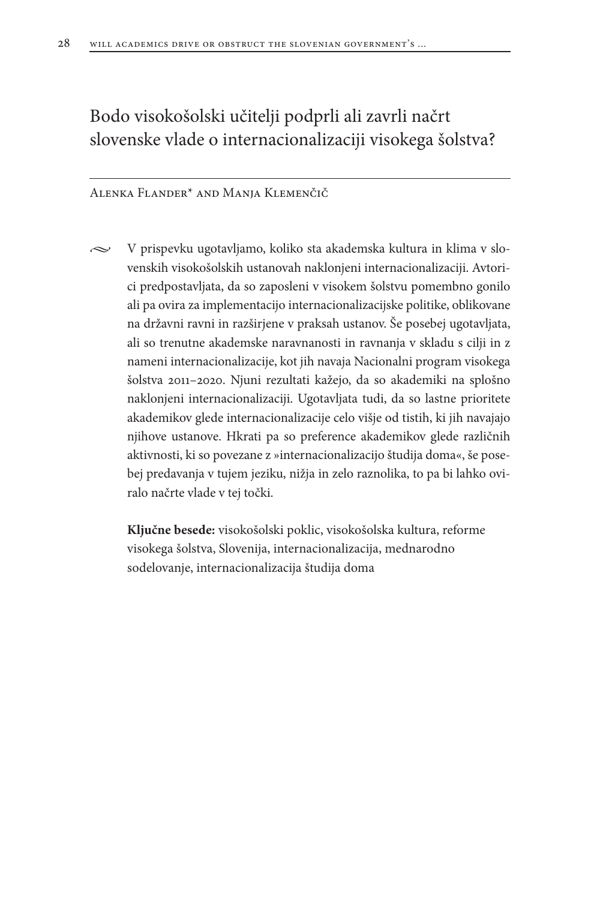# Bodo visokošolski učitelji podprli ali zavrli načrt slovenske vlade o internacionalizaciji visokega šolstva?

Alenka Flander\* and Manja Klemenčič

 $\sim$  V prispevku ugotavljamo, koliko sta akademska kultura in klima v slovenskih visokošolskih ustanovah naklonjeni internacionalizaciji. Avtorici predpostavljata, da so zaposleni v visokem šolstvu pomembno gonilo ali pa ovira za implementacijo internacionalizacijske politike, oblikovane na državni ravni in razširjene v praksah ustanov. Še posebej ugotavljata, ali so trenutne akademske naravnanosti in ravnanja v skladu s cilji in z nameni internacionalizacije, kot jih navaja Nacionalni program visokega šolstva 2011–2020. Njuni rezultati kažejo, da so akademiki na splošno naklonjeni internacionalizaciji. Ugotavljata tudi, da so lastne prioritete akademikov glede internacionalizacije celo višje od tistih, ki jih navajajo njihove ustanove. Hkrati pa so preference akademikov glede različnih aktivnosti, ki so povezane z »internacionalizacijo študija doma«, še posebej predavanja v tujem jeziku, nižja in zelo raznolika, to pa bi lahko oviralo načrte vlade v tej točki.

**Ključne besede:** visokošolski poklic, visokošolska kultura, reforme visokega šolstva, Slovenija, internacionalizacija, mednarodno sodelovanje, internacionalizacija študija doma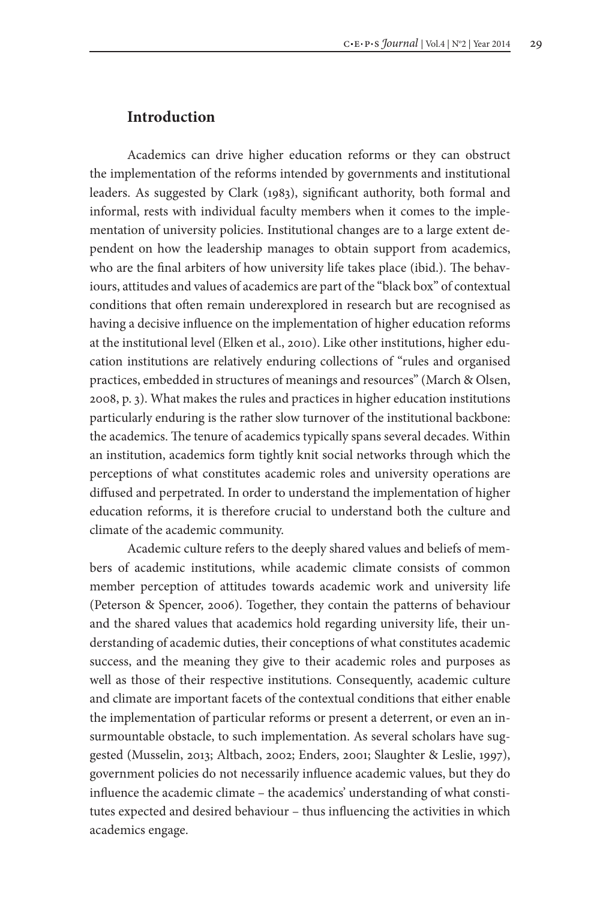## **Introduction**

Academics can drive higher education reforms or they can obstruct the implementation of the reforms intended by governments and institutional leaders. As suggested by Clark (1983), significant authority, both formal and informal, rests with individual faculty members when it comes to the implementation of university policies. Institutional changes are to a large extent dependent on how the leadership manages to obtain support from academics, who are the final arbiters of how university life takes place (ibid.). The behaviours, attitudes and values of academics are part of the "black box" of contextual conditions that often remain underexplored in research but are recognised as having a decisive influence on the implementation of higher education reforms at the institutional level (Elken et al., 2010). Like other institutions, higher education institutions are relatively enduring collections of "rules and organised practices, embedded in structures of meanings and resources" (March & Olsen, 2008, p. 3). What makes the rules and practices in higher education institutions particularly enduring is the rather slow turnover of the institutional backbone: the academics. The tenure of academics typically spans several decades. Within an institution, academics form tightly knit social networks through which the perceptions of what constitutes academic roles and university operations are diffused and perpetrated. In order to understand the implementation of higher education reforms, it is therefore crucial to understand both the culture and climate of the academic community.

Academic culture refers to the deeply shared values and beliefs of members of academic institutions, while academic climate consists of common member perception of attitudes towards academic work and university life (Peterson & Spencer, 2006). Together, they contain the patterns of behaviour and the shared values that academics hold regarding university life, their understanding of academic duties, their conceptions of what constitutes academic success, and the meaning they give to their academic roles and purposes as well as those of their respective institutions. Consequently, academic culture and climate are important facets of the contextual conditions that either enable the implementation of particular reforms or present a deterrent, or even an insurmountable obstacle, to such implementation. As several scholars have suggested (Musselin, 2013; Altbach, 2002; Enders, 2001; Slaughter & Leslie, 1997), government policies do not necessarily influence academic values, but they do influence the academic climate – the academics' understanding of what constitutes expected and desired behaviour – thus influencing the activities in which academics engage.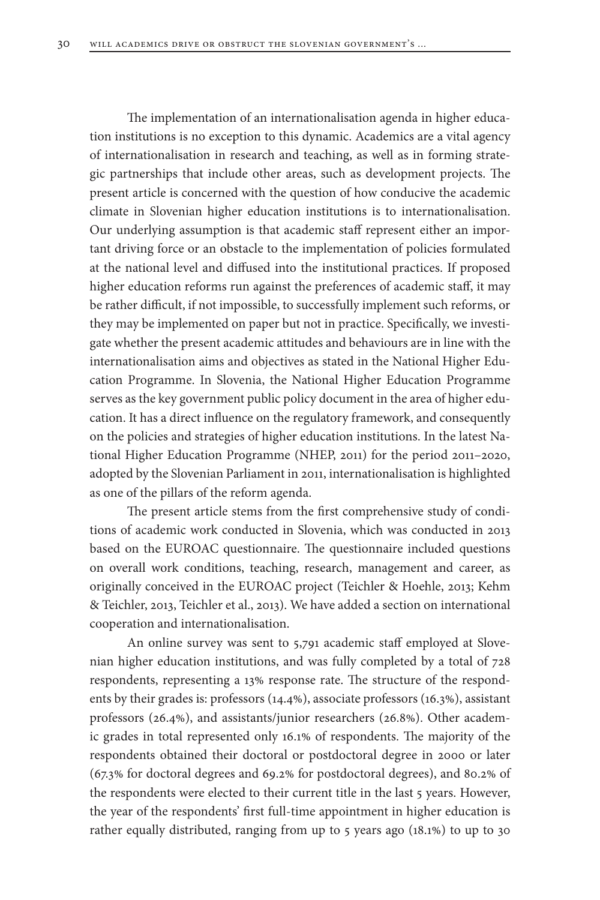The implementation of an internationalisation agenda in higher education institutions is no exception to this dynamic. Academics are a vital agency of internationalisation in research and teaching, as well as in forming strategic partnerships that include other areas, such as development projects. The present article is concerned with the question of how conducive the academic climate in Slovenian higher education institutions is to internationalisation. Our underlying assumption is that academic staff represent either an important driving force or an obstacle to the implementation of policies formulated at the national level and diffused into the institutional practices. If proposed higher education reforms run against the preferences of academic staff, it may be rather difficult, if not impossible, to successfully implement such reforms, or they may be implemented on paper but not in practice. Specifically, we investigate whether the present academic attitudes and behaviours are in line with the internationalisation aims and objectives as stated in the National Higher Education Programme. In Slovenia, the National Higher Education Programme serves as the key government public policy document in the area of higher education. It has a direct influence on the regulatory framework, and consequently on the policies and strategies of higher education institutions. In the latest National Higher Education Programme (NHEP, 2011) for the period 2011–2020, adopted by the Slovenian Parliament in 2011, internationalisation is highlighted as one of the pillars of the reform agenda.

The present article stems from the first comprehensive study of conditions of academic work conducted in Slovenia, which was conducted in 2013 based on the EUROAC questionnaire. The questionnaire included questions on overall work conditions, teaching, research, management and career, as originally conceived in the EUROAC project (Teichler & Hoehle, 2013; Kehm & Teichler, 2013, Teichler et al., 2013). We have added a section on international cooperation and internationalisation.

An online survey was sent to 5,791 academic staff employed at Slovenian higher education institutions, and was fully completed by a total of 728 respondents, representing a 13% response rate. The structure of the respondents by their grades is: professors (14.4%), associate professors (16.3%), assistant professors (26.4%), and assistants/junior researchers (26.8%). Other academic grades in total represented only 16.1% of respondents. The majority of the respondents obtained their doctoral or postdoctoral degree in 2000 or later (67.3% for doctoral degrees and 69.2% for postdoctoral degrees), and 80.2% of the respondents were elected to their current title in the last 5 years. However, the year of the respondents' first full-time appointment in higher education is rather equally distributed, ranging from up to 5 years ago (18.1%) to up to 30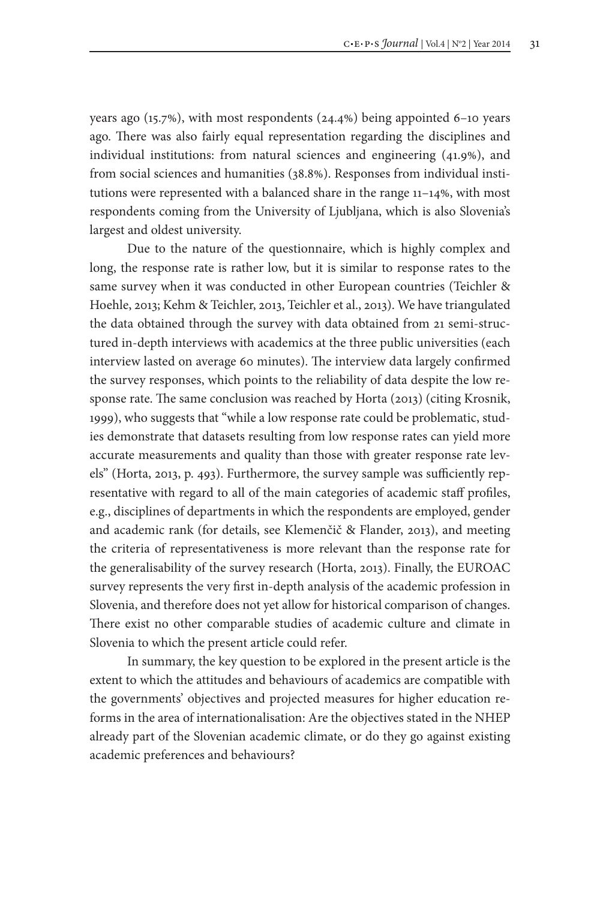years ago (15.7%), with most respondents (24.4%) being appointed 6–10 years ago. There was also fairly equal representation regarding the disciplines and individual institutions: from natural sciences and engineering (41.9%), and from social sciences and humanities (38.8%). Responses from individual institutions were represented with a balanced share in the range 11–14%, with most respondents coming from the University of Ljubljana, which is also Slovenia's largest and oldest university.

Due to the nature of the questionnaire, which is highly complex and long, the response rate is rather low, but it is similar to response rates to the same survey when it was conducted in other European countries (Teichler & Hoehle, 2013; Kehm & Teichler, 2013, Teichler et al., 2013). We have triangulated the data obtained through the survey with data obtained from 21 semi-structured in-depth interviews with academics at the three public universities (each interview lasted on average 60 minutes). The interview data largely confirmed the survey responses, which points to the reliability of data despite the low response rate. The same conclusion was reached by Horta (2013) (citing Krosnik, 1999), who suggests that "while a low response rate could be problematic, studies demonstrate that datasets resulting from low response rates can yield more accurate measurements and quality than those with greater response rate levels" (Horta, 2013, p. 493). Furthermore, the survey sample was sufficiently representative with regard to all of the main categories of academic staff profiles, e.g., disciplines of departments in which the respondents are employed, gender and academic rank (for details, see Klemenčič & Flander, 2013), and meeting the criteria of representativeness is more relevant than the response rate for the generalisability of the survey research (Horta, 2013). Finally, the EUROAC survey represents the very first in-depth analysis of the academic profession in Slovenia, and therefore does not yet allow for historical comparison of changes. There exist no other comparable studies of academic culture and climate in Slovenia to which the present article could refer.

In summary, the key question to be explored in the present article is the extent to which the attitudes and behaviours of academics are compatible with the governments' objectives and projected measures for higher education reforms in the area of internationalisation: Are the objectives stated in the NHEP already part of the Slovenian academic climate, or do they go against existing academic preferences and behaviours?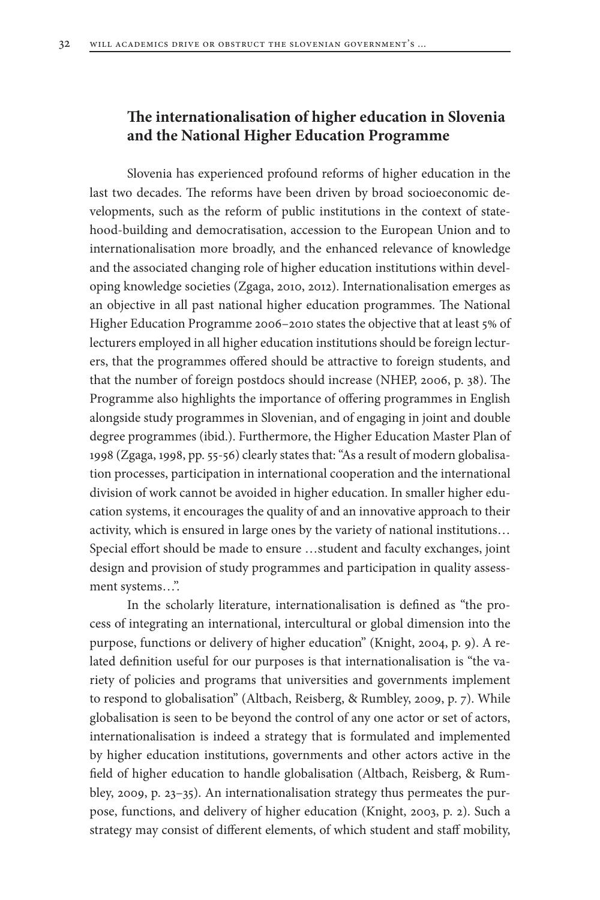# **The internationalisation of higher education in Slovenia and the National Higher Education Programme**

Slovenia has experienced profound reforms of higher education in the last two decades. The reforms have been driven by broad socioeconomic developments, such as the reform of public institutions in the context of statehood-building and democratisation, accession to the European Union and to internationalisation more broadly, and the enhanced relevance of knowledge and the associated changing role of higher education institutions within developing knowledge societies (Zgaga, 2010, 2012). Internationalisation emerges as an objective in all past national higher education programmes. The National Higher Education Programme 2006–2010 states the objective that at least 5% of lecturers employed in all higher education institutions should be foreign lecturers, that the programmes offered should be attractive to foreign students, and that the number of foreign postdocs should increase (NHEP, 2006, p. 38). The Programme also highlights the importance of offering programmes in English alongside study programmes in Slovenian, and of engaging in joint and double degree programmes (ibid.). Furthermore, the Higher Education Master Plan of 1998 (Zgaga, 1998, pp. 55-56) clearly states that: "As a result of modern globalisation processes, participation in international cooperation and the international division of work cannot be avoided in higher education. In smaller higher education systems, it encourages the quality of and an innovative approach to their activity, which is ensured in large ones by the variety of national institutions… Special effort should be made to ensure …student and faculty exchanges, joint design and provision of study programmes and participation in quality assessment systems…".

In the scholarly literature, internationalisation is defined as "the process of integrating an international, intercultural or global dimension into the purpose, functions or delivery of higher education" (Knight, 2004, p. 9). A related definition useful for our purposes is that internationalisation is "the variety of policies and programs that universities and governments implement to respond to globalisation" (Altbach, Reisberg, & Rumbley, 2009, p. 7). While globalisation is seen to be beyond the control of any one actor or set of actors, internationalisation is indeed a strategy that is formulated and implemented by higher education institutions, governments and other actors active in the field of higher education to handle globalisation (Altbach, Reisberg, & Rumbley, 2009, p. 23–35). An internationalisation strategy thus permeates the purpose, functions, and delivery of higher education (Knight, 2003, p. 2). Such a strategy may consist of different elements, of which student and staff mobility,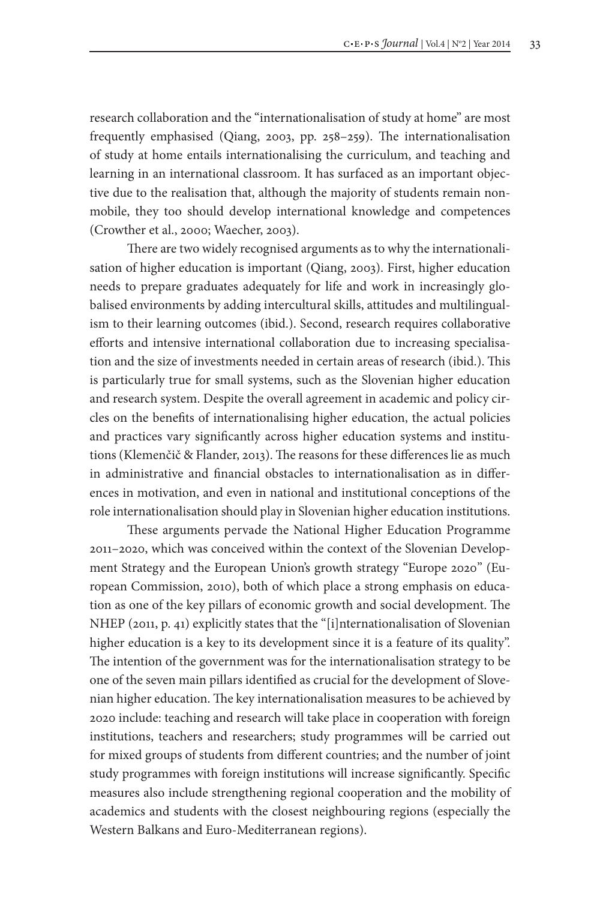research collaboration and the "internationalisation of study at home" are most frequently emphasised (Qiang, 2003, pp. 258–259). The internationalisation of study at home entails internationalising the curriculum, and teaching and learning in an international classroom. It has surfaced as an important objective due to the realisation that, although the majority of students remain nonmobile, they too should develop international knowledge and competences (Crowther et al., 2000; Waecher, 2003).

There are two widely recognised arguments as to why the internationalisation of higher education is important (Qiang, 2003). First, higher education needs to prepare graduates adequately for life and work in increasingly globalised environments by adding intercultural skills, attitudes and multilingualism to their learning outcomes (ibid.). Second, research requires collaborative efforts and intensive international collaboration due to increasing specialisation and the size of investments needed in certain areas of research (ibid.). This is particularly true for small systems, such as the Slovenian higher education and research system. Despite the overall agreement in academic and policy circles on the benefits of internationalising higher education, the actual policies and practices vary significantly across higher education systems and institutions (Klemenčič & Flander, 2013). The reasons for these differences lie as much in administrative and financial obstacles to internationalisation as in differences in motivation, and even in national and institutional conceptions of the role internationalisation should play in Slovenian higher education institutions.

These arguments pervade the National Higher Education Programme 2011–2020, which was conceived within the context of the Slovenian Development Strategy and the European Union's growth strategy "Europe 2020" (European Commission, 2010), both of which place a strong emphasis on education as one of the key pillars of economic growth and social development. The NHEP (2011, p. 41) explicitly states that the "[i]nternationalisation of Slovenian higher education is a key to its development since it is a feature of its quality". The intention of the government was for the internationalisation strategy to be one of the seven main pillars identified as crucial for the development of Slovenian higher education. The key internationalisation measures to be achieved by 2020 include: teaching and research will take place in cooperation with foreign institutions, teachers and researchers; study programmes will be carried out for mixed groups of students from different countries; and the number of joint study programmes with foreign institutions will increase significantly. Specific measures also include strengthening regional cooperation and the mobility of academics and students with the closest neighbouring regions (especially the Western Balkans and Euro-Mediterranean regions).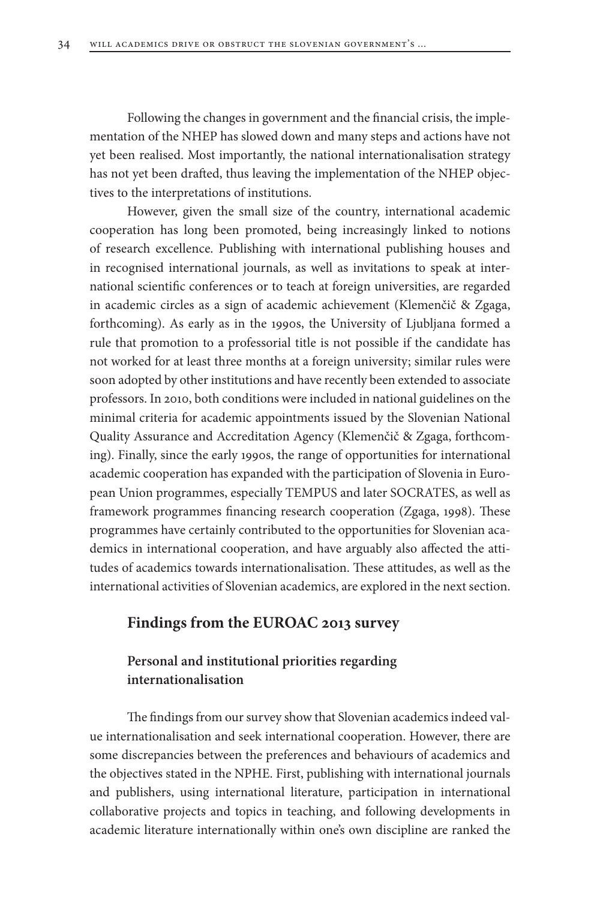Following the changes in government and the financial crisis, the implementation of the NHEP has slowed down and many steps and actions have not yet been realised. Most importantly, the national internationalisation strategy has not yet been drafted, thus leaving the implementation of the NHEP objectives to the interpretations of institutions.

However, given the small size of the country, international academic cooperation has long been promoted, being increasingly linked to notions of research excellence. Publishing with international publishing houses and in recognised international journals, as well as invitations to speak at international scientific conferences or to teach at foreign universities, are regarded in academic circles as a sign of academic achievement (Klemenčič & Zgaga, forthcoming). As early as in the 1990s, the University of Ljubljana formed a rule that promotion to a professorial title is not possible if the candidate has not worked for at least three months at a foreign university; similar rules were soon adopted by other institutions and have recently been extended to associate professors. In 2010, both conditions were included in national guidelines on the minimal criteria for academic appointments issued by the Slovenian National Quality Assurance and Accreditation Agency (Klemenčič & Zgaga, forthcoming). Finally, since the early 1990s, the range of opportunities for international academic cooperation has expanded with the participation of Slovenia in European Union programmes, especially TEMPUS and later SOCRATES, as well as framework programmes financing research cooperation (Zgaga, 1998). These programmes have certainly contributed to the opportunities for Slovenian academics in international cooperation, and have arguably also affected the attitudes of academics towards internationalisation. These attitudes, as well as the international activities of Slovenian academics, are explored in the next section.

# **Findings from the EUROAC 2013 survey**

# **Personal and institutional priorities regarding internationalisation**

The findings from our survey show that Slovenian academics indeed value internationalisation and seek international cooperation. However, there are some discrepancies between the preferences and behaviours of academics and the objectives stated in the NPHE. First, publishing with international journals and publishers, using international literature, participation in international collaborative projects and topics in teaching, and following developments in academic literature internationally within one's own discipline are ranked the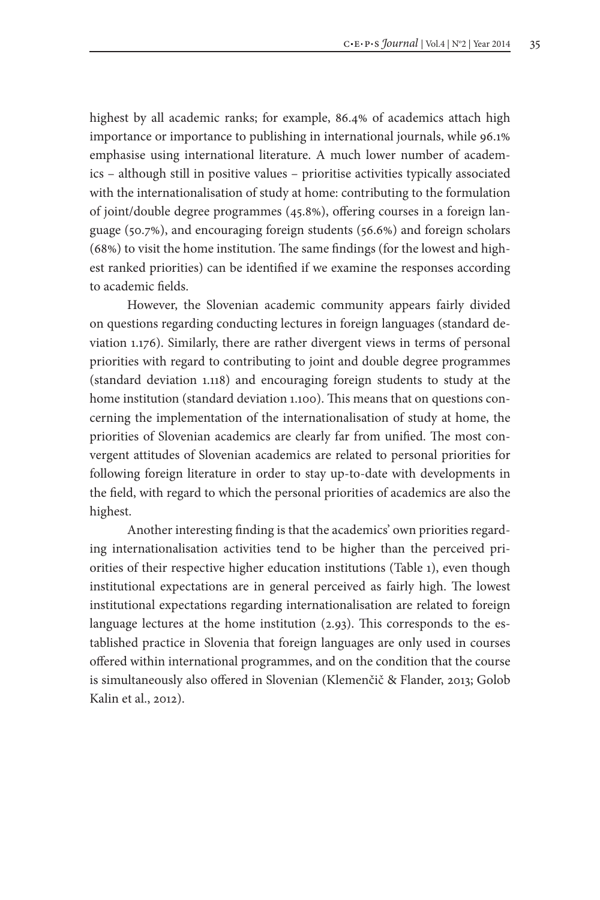highest by all academic ranks; for example, 86.4% of academics attach high importance or importance to publishing in international journals, while 96.1% emphasise using international literature. A much lower number of academics – although still in positive values – prioritise activities typically associated with the internationalisation of study at home: contributing to the formulation of joint/double degree programmes (45.8%), offering courses in a foreign language (50.7%), and encouraging foreign students (56.6%) and foreign scholars (68%) to visit the home institution. The same findings (for the lowest and highest ranked priorities) can be identified if we examine the responses according to academic fields.

However, the Slovenian academic community appears fairly divided on questions regarding conducting lectures in foreign languages (standard deviation 1.176). Similarly, there are rather divergent views in terms of personal priorities with regard to contributing to joint and double degree programmes (standard deviation 1.118) and encouraging foreign students to study at the home institution (standard deviation 1.100). This means that on questions concerning the implementation of the internationalisation of study at home, the priorities of Slovenian academics are clearly far from unified. The most convergent attitudes of Slovenian academics are related to personal priorities for following foreign literature in order to stay up-to-date with developments in the field, with regard to which the personal priorities of academics are also the highest.

Another interesting finding is that the academics' own priorities regarding internationalisation activities tend to be higher than the perceived priorities of their respective higher education institutions (Table 1), even though institutional expectations are in general perceived as fairly high. The lowest institutional expectations regarding internationalisation are related to foreign language lectures at the home institution (2.93). This corresponds to the established practice in Slovenia that foreign languages are only used in courses offered within international programmes, and on the condition that the course is simultaneously also offered in Slovenian (Klemenčič & Flander, 2013; Golob Kalin et al., 2012).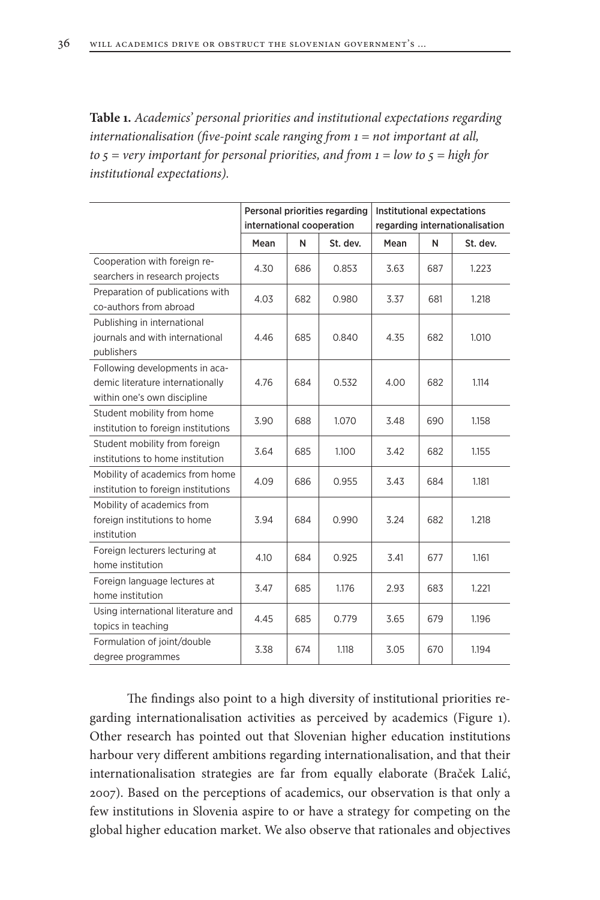**Table 1.** *Academics' personal priorities and institutional expectations regarding internationalisation (five-point scale ranging from 1 = not important at all, to 5 = very important for personal priorities, and from 1 = low to 5 = high for institutional expectations).*

|                                                                                                   | Personal priorities regarding<br>international cooperation |     |          | Institutional expectations<br>regarding internationalisation |     |          |
|---------------------------------------------------------------------------------------------------|------------------------------------------------------------|-----|----------|--------------------------------------------------------------|-----|----------|
|                                                                                                   | Mean                                                       | N   | St. dev. | Mean                                                         | N   | St. dev. |
| Cooperation with foreign re-<br>searchers in research projects                                    | 4.30                                                       | 686 | 0.853    | 3.63                                                         | 687 | 1.223    |
| Preparation of publications with<br>co-authors from abroad                                        | 4.03                                                       | 682 | 0.980    | 3.37                                                         | 681 | 1.218    |
| Publishing in international<br>journals and with international<br>publishers                      | 4.46                                                       | 685 | 0.840    | 4.35                                                         | 682 | 1.010    |
| Following developments in aca-<br>demic literature internationally<br>within one's own discipline | 4.76                                                       | 684 | 0.532    | 4.00                                                         | 682 | 1.114    |
| Student mobility from home<br>institution to foreign institutions                                 | 3.90                                                       | 688 | 1.070    | 3.48                                                         | 690 | 1.158    |
| Student mobility from foreign<br>institutions to home institution                                 | 3.64                                                       | 685 | 1.100    | 3.42                                                         | 682 | 1.155    |
| Mobility of academics from home<br>institution to foreign institutions                            | 4.09                                                       | 686 | 0.955    | 3.43                                                         | 684 | 1.181    |
| Mobility of academics from<br>foreign institutions to home<br>institution                         | 3.94                                                       | 684 | 0.990    | 3.24                                                         | 682 | 1.218    |
| Foreign lecturers lecturing at<br>home institution                                                | 4.10                                                       | 684 | 0.925    | 3.41                                                         | 677 | 1.161    |
| Foreign language lectures at<br>home institution                                                  | 3.47                                                       | 685 | 1.176    | 2.93                                                         | 683 | 1.221    |
| Using international literature and<br>topics in teaching                                          | 4.45                                                       | 685 | 0.779    | 3.65                                                         | 679 | 1.196    |
| Formulation of joint/double<br>degree programmes                                                  | 3.38                                                       | 674 | 1.118    | 3.05                                                         | 670 | 1.194    |

The findings also point to a high diversity of institutional priorities regarding internationalisation activities as perceived by academics (Figure 1). Other research has pointed out that Slovenian higher education institutions harbour very different ambitions regarding internationalisation, and that their internationalisation strategies are far from equally elaborate (Braček Lalić, 2007). Based on the perceptions of academics, our observation is that only a few institutions in Slovenia aspire to or have a strategy for competing on the global higher education market. We also observe that rationales and objectives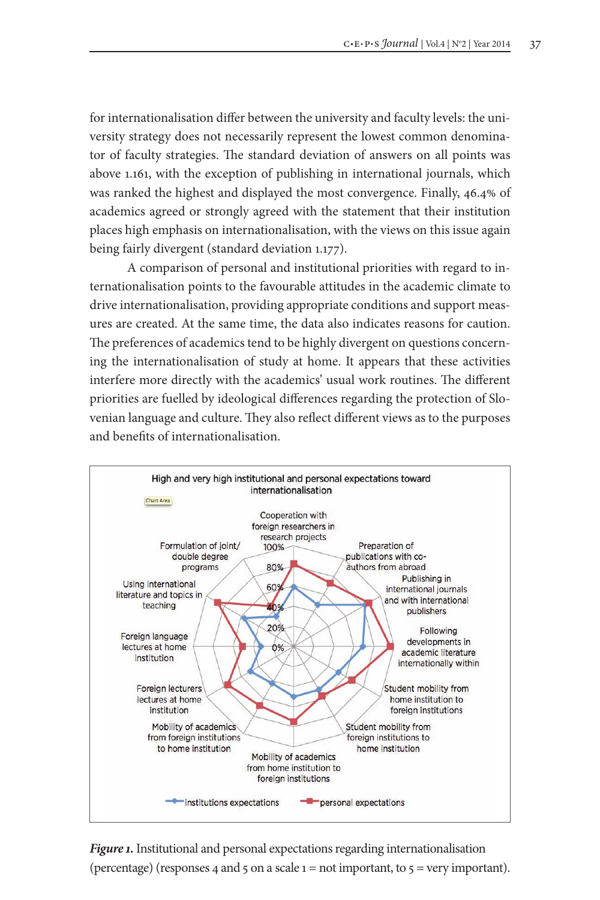for internationalisation differ between the university and faculty levels: the university strategy does not necessarily represent the lowest common denominator of faculty strategies. The standard deviation of answers on all points was above 1.161, with the exception of publishing in international journals, which was ranked the highest and displayed the most convergence. Finally, 46.4% of academics agreed or strongly agreed with the statement that their institution places high emphasis on internationalisation, with the views on this issue again being fairly divergent (standard deviation 1.177).

A comparison of personal and institutional priorities with regard to internationalisation points to the favourable attitudes in the academic climate to drive internationalisation, providing appropriate conditions and support measures are created. At the same time, the data also indicates reasons for caution. The preferences of academics tend to be highly divergent on questions concerning the internationalisation of study at home. It appears that these activities interfere more directly with the academics' usual work routines. The different priorities are fuelled by ideological differences regarding the protection of Slovenian language and culture. They also reflect different views as to the purposes and benefits of internationalisation.



*Figure 1.*Institutional and personal expectations regarding internationalisation (percentage) (responses 4 and 5 on a scale  $1 = not$  important, to  $5 = very$  important).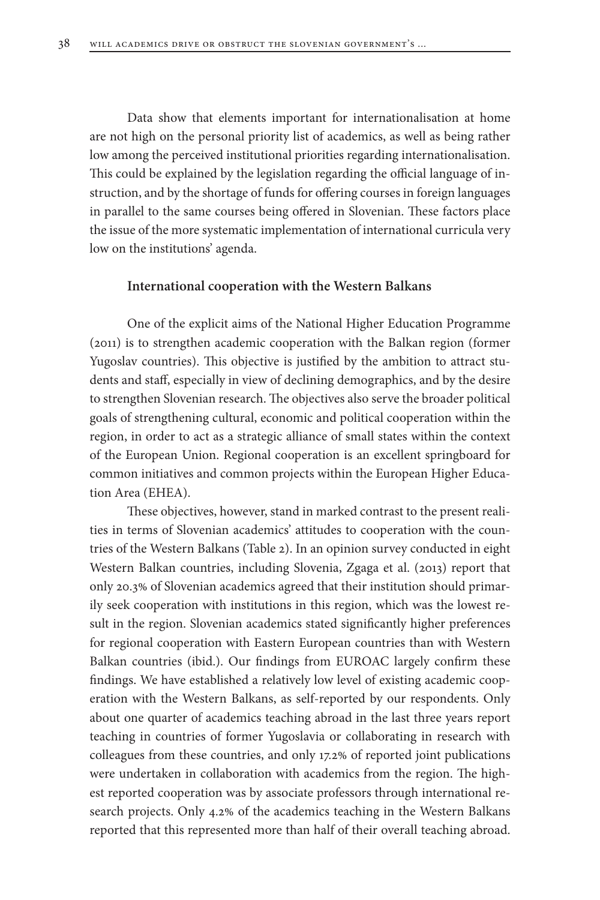Data show that elements important for internationalisation at home are not high on the personal priority list of academics, as well as being rather low among the perceived institutional priorities regarding internationalisation. This could be explained by the legislation regarding the official language of instruction, and by the shortage of funds for offering courses in foreign languages in parallel to the same courses being offered in Slovenian. These factors place the issue of the more systematic implementation of international curricula very low on the institutions' agenda.

#### **International cooperation with the Western Balkans**

One of the explicit aims of the National Higher Education Programme (2011) is to strengthen academic cooperation with the Balkan region (former Yugoslav countries). This objective is justified by the ambition to attract students and staff, especially in view of declining demographics, and by the desire to strengthen Slovenian research. The objectives also serve the broader political goals of strengthening cultural, economic and political cooperation within the region, in order to act as a strategic alliance of small states within the context of the European Union. Regional cooperation is an excellent springboard for common initiatives and common projects within the European Higher Education Area (EHEA).

These objectives, however, stand in marked contrast to the present realities in terms of Slovenian academics' attitudes to cooperation with the countries of the Western Balkans (Table 2). In an opinion survey conducted in eight Western Balkan countries, including Slovenia, Zgaga et al. (2013) report that only 20.3% of Slovenian academics agreed that their institution should primarily seek cooperation with institutions in this region, which was the lowest result in the region. Slovenian academics stated significantly higher preferences for regional cooperation with Eastern European countries than with Western Balkan countries (ibid.). Our findings from EUROAC largely confirm these findings. We have established a relatively low level of existing academic cooperation with the Western Balkans, as self-reported by our respondents. Only about one quarter of academics teaching abroad in the last three years report teaching in countries of former Yugoslavia or collaborating in research with colleagues from these countries, and only 17.2% of reported joint publications were undertaken in collaboration with academics from the region. The highest reported cooperation was by associate professors through international research projects. Only 4.2% of the academics teaching in the Western Balkans reported that this represented more than half of their overall teaching abroad.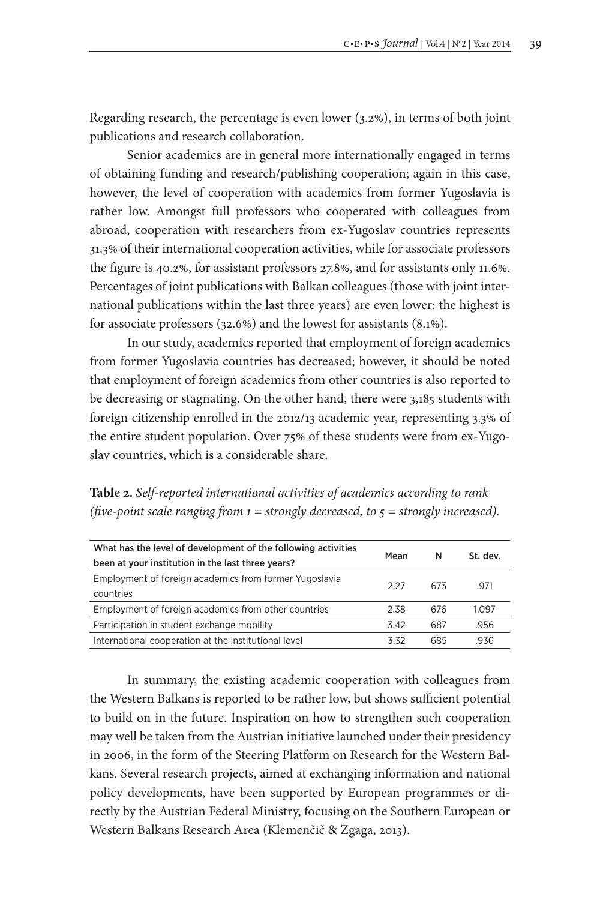Regarding research, the percentage is even lower (3.2%), in terms of both joint publications and research collaboration.

Senior academics are in general more internationally engaged in terms of obtaining funding and research/publishing cooperation; again in this case, however, the level of cooperation with academics from former Yugoslavia is rather low. Amongst full professors who cooperated with colleagues from abroad, cooperation with researchers from ex-Yugoslav countries represents 31.3% of their international cooperation activities, while for associate professors the figure is 40.2%, for assistant professors 27.8%, and for assistants only 11.6%. Percentages of joint publications with Balkan colleagues (those with joint international publications within the last three years) are even lower: the highest is for associate professors (32.6%) and the lowest for assistants (8.1%).

In our study, academics reported that employment of foreign academics from former Yugoslavia countries has decreased; however, it should be noted that employment of foreign academics from other countries is also reported to be decreasing or stagnating. On the other hand, there were 3,185 students with foreign citizenship enrolled in the 2012/13 academic year, representing 3.3% of the entire student population. Over 75% of these students were from ex-Yugoslav countries, which is a considerable share.

**Table 2.** *Self-reported international activities of academics according to rank (five-point scale ranging from 1 = strongly decreased, to 5 = strongly increased).*

| What has the level of development of the following activities |       | N   | St. dev. |
|---------------------------------------------------------------|-------|-----|----------|
| been at your institution in the last three years?             | Mean  |     |          |
| Employment of foreign academics from former Yugoslavia        | 2 2 7 | 673 | 971      |
| countries                                                     |       |     |          |
| Employment of foreign academics from other countries          | 2.38  | 676 | 1.097    |
| Participation in student exchange mobility                    | 342   | 687 | .956     |
| International cooperation at the institutional level          | 332   | 685 | .936     |

In summary, the existing academic cooperation with colleagues from the Western Balkans is reported to be rather low, but shows sufficient potential to build on in the future. Inspiration on how to strengthen such cooperation may well be taken from the Austrian initiative launched under their presidency in 2006, in the form of the Steering Platform on Research for the Western Balkans. Several research projects, aimed at exchanging information and national policy developments, have been supported by European programmes or directly by the Austrian Federal Ministry, focusing on the Southern European or Western Balkans Research Area (Klemenčič & Zgaga, 2013).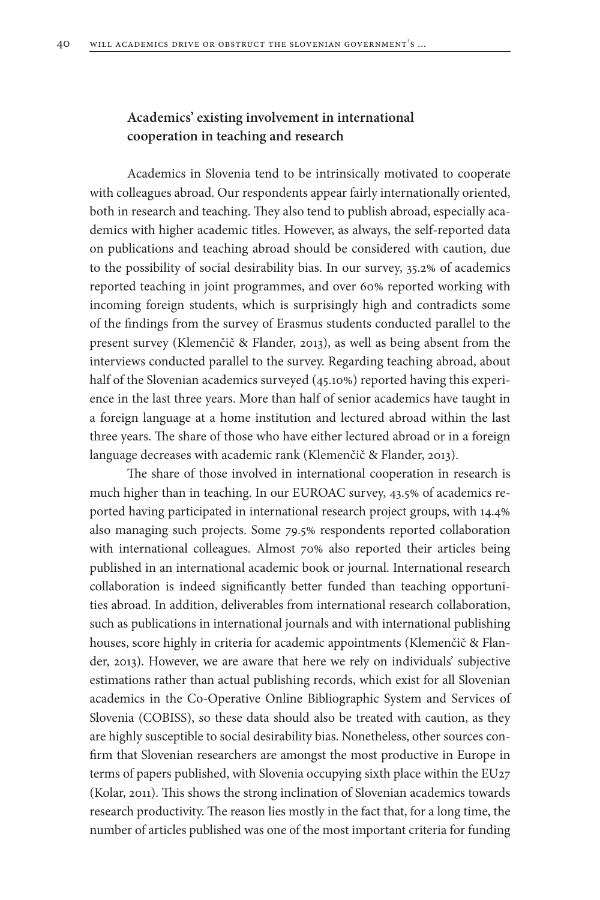# **Academics' existing involvement in international cooperation in teaching and research**

Academics in Slovenia tend to be intrinsically motivated to cooperate with colleagues abroad. Our respondents appear fairly internationally oriented, both in research and teaching. They also tend to publish abroad, especially academics with higher academic titles. However, as always, the self-reported data on publications and teaching abroad should be considered with caution, due to the possibility of social desirability bias. In our survey, 35.2% of academics reported teaching in joint programmes, and over 60% reported working with incoming foreign students, which is surprisingly high and contradicts some of the findings from the survey of Erasmus students conducted parallel to the present survey (Klemenčič & Flander, 2013), as well as being absent from the interviews conducted parallel to the survey. Regarding teaching abroad, about half of the Slovenian academics surveyed (45.10%) reported having this experience in the last three years. More than half of senior academics have taught in a foreign language at a home institution and lectured abroad within the last three years. The share of those who have either lectured abroad or in a foreign language decreases with academic rank (Klemenčič & Flander, 2013).

The share of those involved in international cooperation in research is much higher than in teaching. In our EUROAC survey, 43.5% of academics reported having participated in international research project groups, with 14.4% also managing such projects. Some 79.5% respondents reported collaboration with international colleagues. Almost 70% also reported their articles being published in an international academic book or journal. International research collaboration is indeed significantly better funded than teaching opportunities abroad. In addition, deliverables from international research collaboration, such as publications in international journals and with international publishing houses, score highly in criteria for academic appointments (Klemenčič & Flander, 2013). However, we are aware that here we rely on individuals' subjective estimations rather than actual publishing records, which exist for all Slovenian academics in the Co-Operative Online Bibliographic System and Services of Slovenia (COBISS), so these data should also be treated with caution, as they are highly susceptible to social desirability bias. Nonetheless, other sources confirm that Slovenian researchers are amongst the most productive in Europe in terms of papers published, with Slovenia occupying sixth place within the EU27 (Kolar, 2011). This shows the strong inclination of Slovenian academics towards research productivity. The reason lies mostly in the fact that, for a long time, the number of articles published was one of the most important criteria for funding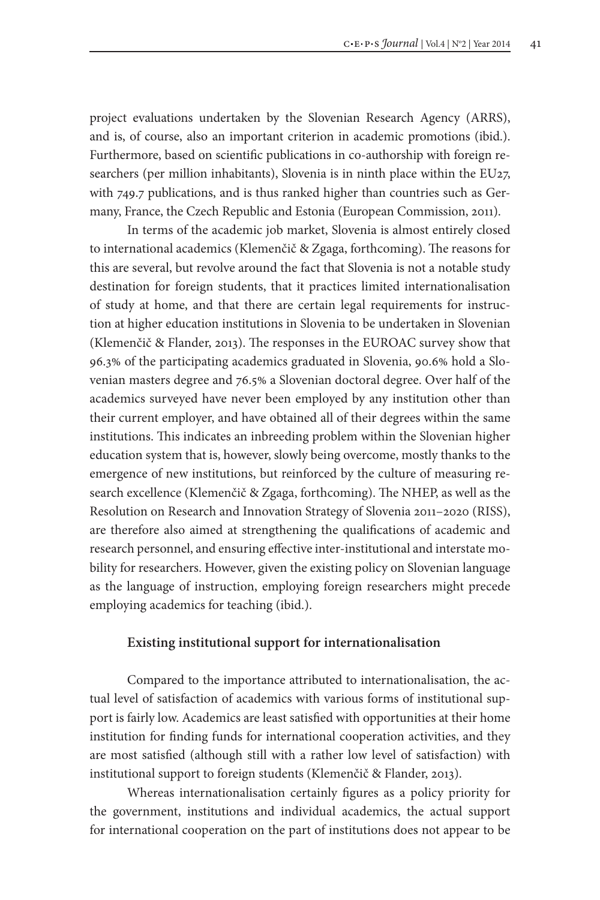project evaluations undertaken by the Slovenian Research Agency (ARRS), and is, of course, also an important criterion in academic promotions (ibid.). Furthermore, based on scientific publications in co-authorship with foreign researchers (per million inhabitants), Slovenia is in ninth place within the EU27, with 749.7 publications, and is thus ranked higher than countries such as Germany, France, the Czech Republic and Estonia (European Commission, 2011).

In terms of the academic job market, Slovenia is almost entirely closed to international academics (Klemenčič & Zgaga, forthcoming). The reasons for this are several, but revolve around the fact that Slovenia is not a notable study destination for foreign students, that it practices limited internationalisation of study at home, and that there are certain legal requirements for instruction at higher education institutions in Slovenia to be undertaken in Slovenian (Klemenčič & Flander, 2013). The responses in the EUROAC survey show that 96.3% of the participating academics graduated in Slovenia, 90.6% hold a Slovenian masters degree and 76.5% a Slovenian doctoral degree. Over half of the academics surveyed have never been employed by any institution other than their current employer, and have obtained all of their degrees within the same institutions. This indicates an inbreeding problem within the Slovenian higher education system that is, however, slowly being overcome, mostly thanks to the emergence of new institutions, but reinforced by the culture of measuring research excellence (Klemenčič & Zgaga, forthcoming). The NHEP, as well as the Resolution on Research and Innovation Strategy of Slovenia 2011–2020 (RISS), are therefore also aimed at strengthening the qualifications of academic and research personnel, and ensuring effective inter-institutional and interstate mobility for researchers. However, given the existing policy on Slovenian language as the language of instruction, employing foreign researchers might precede employing academics for teaching (ibid.).

#### **Existing institutional support for internationalisation**

Compared to the importance attributed to internationalisation, the actual level of satisfaction of academics with various forms of institutional support is fairly low. Academics are least satisfied with opportunities at their home institution for finding funds for international cooperation activities, and they are most satisfied (although still with a rather low level of satisfaction) with institutional support to foreign students (Klemenčič & Flander, 2013).

Whereas internationalisation certainly figures as a policy priority for the government, institutions and individual academics, the actual support for international cooperation on the part of institutions does not appear to be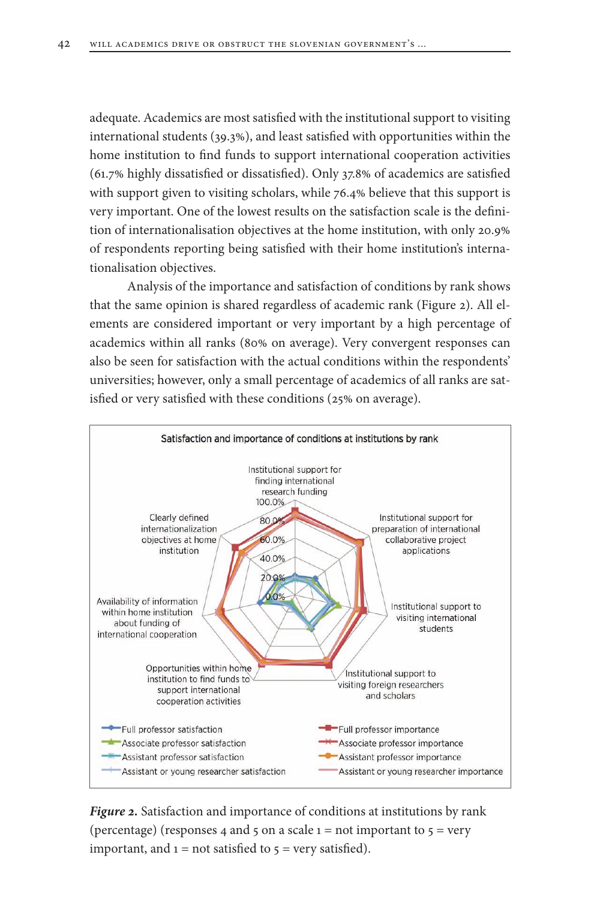adequate. Academics are most satisfied with the institutional support to visiting international students (39.3%), and least satisfied with opportunities within the home institution to find funds to support international cooperation activities (61.7% highly dissatisfied or dissatisfied). Only 37.8% of academics are satisfied with support given to visiting scholars, while 76.4% believe that this support is very important. One of the lowest results on the satisfaction scale is the definition of internationalisation objectives at the home institution, with only 20.9% of respondents reporting being satisfied with their home institution's internationalisation objectives.

Analysis of the importance and satisfaction of conditions by rank shows that the same opinion is shared regardless of academic rank (Figure 2). All elements are considered important or very important by a high percentage of academics within all ranks (80% on average). Very convergent responses can also be seen for satisfaction with the actual conditions within the respondents' universities; however, only a small percentage of academics of all ranks are satisfied or very satisfied with these conditions (25% on average).



*Figure 2.* Satisfaction and importance of conditions at institutions by rank (percentage) (responses 4 and 5 on a scale  $1 = not important to 5 = very$ important, and  $1 = not$  satisfied to  $5 = very$  satisfied).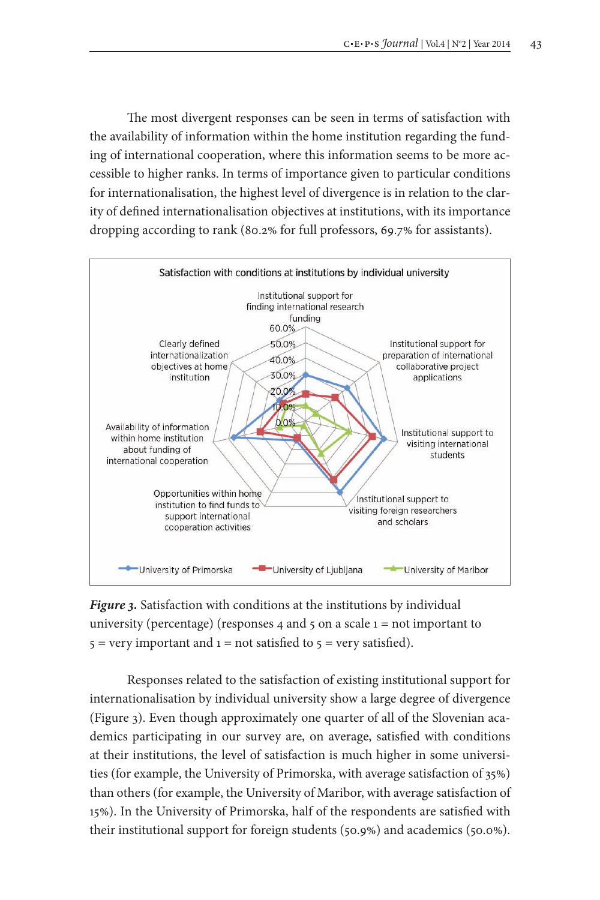The most divergent responses can be seen in terms of satisfaction with the availability of information within the home institution regarding the funding of international cooperation, where this information seems to be more accessible to higher ranks. In terms of importance given to particular conditions for internationalisation, the highest level of divergence is in relation to the clarity of defined internationalisation objectives at institutions, with its importance dropping according to rank (80.2% for full professors, 69.7% for assistants).



*Figure 3.* Satisfaction with conditions at the institutions by individual university (percentage) (responses 4 and 5 on a scale  $1 = not$  important to  $5 = \text{very important}$  and  $1 = \text{not satisfied}$  to  $5 = \text{very satisfied}$ .

Responses related to the satisfaction of existing institutional support for internationalisation by individual university show a large degree of divergence (Figure 3). Even though approximately one quarter of all of the Slovenian academics participating in our survey are, on average, satisfied with conditions at their institutions, the level of satisfaction is much higher in some universities (for example, the University of Primorska, with average satisfaction of 35%) than others (for example, the University of Maribor, with average satisfaction of 15%). In the University of Primorska, half of the respondents are satisfied with their institutional support for foreign students (50.9%) and academics (50.0%).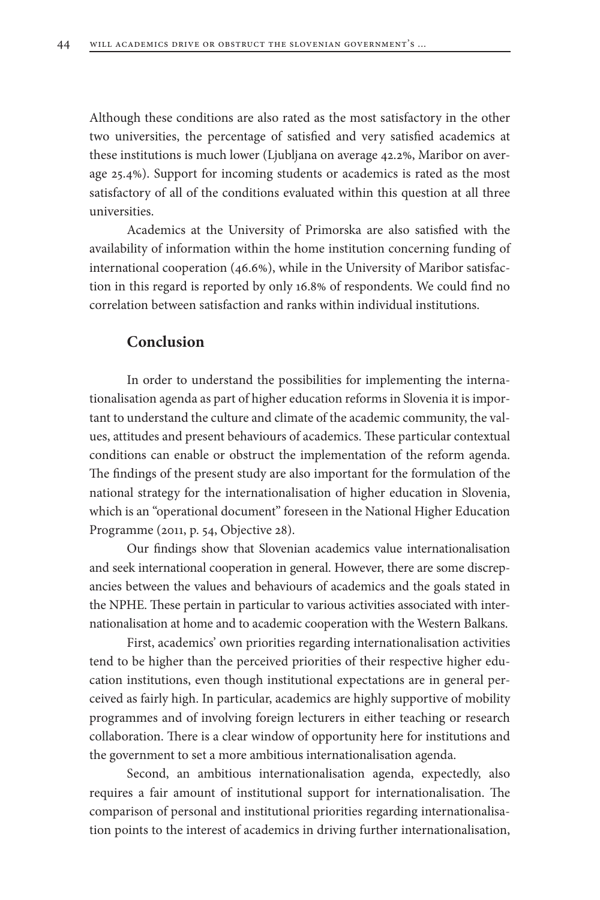Although these conditions are also rated as the most satisfactory in the other two universities, the percentage of satisfied and very satisfied academics at these institutions is much lower (Ljubljana on average 42.2%, Maribor on average 25.4%). Support for incoming students or academics is rated as the most satisfactory of all of the conditions evaluated within this question at all three universities.

Academics at the University of Primorska are also satisfied with the availability of information within the home institution concerning funding of international cooperation (46.6%), while in the University of Maribor satisfaction in this regard is reported by only 16.8% of respondents. We could find no correlation between satisfaction and ranks within individual institutions.

# **Conclusion**

In order to understand the possibilities for implementing the internationalisation agenda as part of higher education reforms in Slovenia it is important to understand the culture and climate of the academic community, the values, attitudes and present behaviours of academics. These particular contextual conditions can enable or obstruct the implementation of the reform agenda. The findings of the present study are also important for the formulation of the national strategy for the internationalisation of higher education in Slovenia, which is an "operational document" foreseen in the National Higher Education Programme (2011, p. 54, Objective 28).

Our findings show that Slovenian academics value internationalisation and seek international cooperation in general. However, there are some discrepancies between the values and behaviours of academics and the goals stated in the NPHE. These pertain in particular to various activities associated with internationalisation at home and to academic cooperation with the Western Balkans.

First, academics' own priorities regarding internationalisation activities tend to be higher than the perceived priorities of their respective higher education institutions, even though institutional expectations are in general perceived as fairly high. In particular, academics are highly supportive of mobility programmes and of involving foreign lecturers in either teaching or research collaboration. There is a clear window of opportunity here for institutions and the government to set a more ambitious internationalisation agenda.

Second, an ambitious internationalisation agenda, expectedly, also requires a fair amount of institutional support for internationalisation. The comparison of personal and institutional priorities regarding internationalisation points to the interest of academics in driving further internationalisation,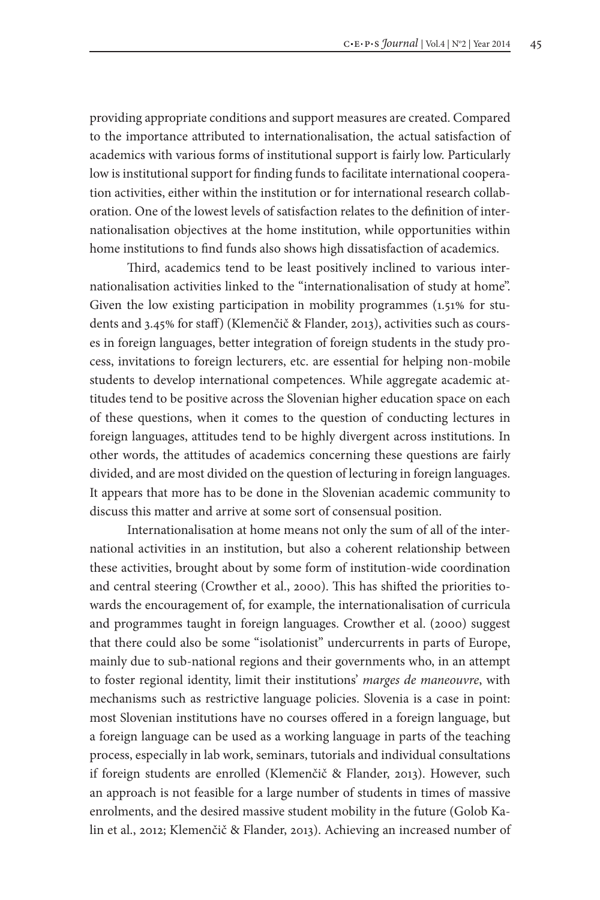providing appropriate conditions and support measures are created. Compared to the importance attributed to internationalisation, the actual satisfaction of academics with various forms of institutional support is fairly low. Particularly low is institutional support for finding funds to facilitate international cooperation activities, either within the institution or for international research collaboration. One of the lowest levels of satisfaction relates to the definition of internationalisation objectives at the home institution, while opportunities within home institutions to find funds also shows high dissatisfaction of academics.

Third, academics tend to be least positively inclined to various internationalisation activities linked to the "internationalisation of study at home". Given the low existing participation in mobility programmes (1.51% for students and 3.45% for staff) (Klemenčič & Flander, 2013), activities such as courses in foreign languages, better integration of foreign students in the study process, invitations to foreign lecturers, etc. are essential for helping non-mobile students to develop international competences. While aggregate academic attitudes tend to be positive across the Slovenian higher education space on each of these questions, when it comes to the question of conducting lectures in foreign languages, attitudes tend to be highly divergent across institutions. In other words, the attitudes of academics concerning these questions are fairly divided, and are most divided on the question of lecturing in foreign languages. It appears that more has to be done in the Slovenian academic community to discuss this matter and arrive at some sort of consensual position.

Internationalisation at home means not only the sum of all of the international activities in an institution, but also a coherent relationship between these activities, brought about by some form of institution-wide coordination and central steering (Crowther et al., 2000). This has shifted the priorities towards the encouragement of, for example, the internationalisation of curricula and programmes taught in foreign languages. Crowther et al. (2000) suggest that there could also be some "isolationist" undercurrents in parts of Europe, mainly due to sub-national regions and their governments who, in an attempt to foster regional identity, limit their institutions' *marges de maneouvre*, with mechanisms such as restrictive language policies. Slovenia is a case in point: most Slovenian institutions have no courses offered in a foreign language, but a foreign language can be used as a working language in parts of the teaching process, especially in lab work, seminars, tutorials and individual consultations if foreign students are enrolled (Klemenčič & Flander, 2013). However, such an approach is not feasible for a large number of students in times of massive enrolments, and the desired massive student mobility in the future (Golob Kalin et al., 2012; Klemenčič & Flander, 2013). Achieving an increased number of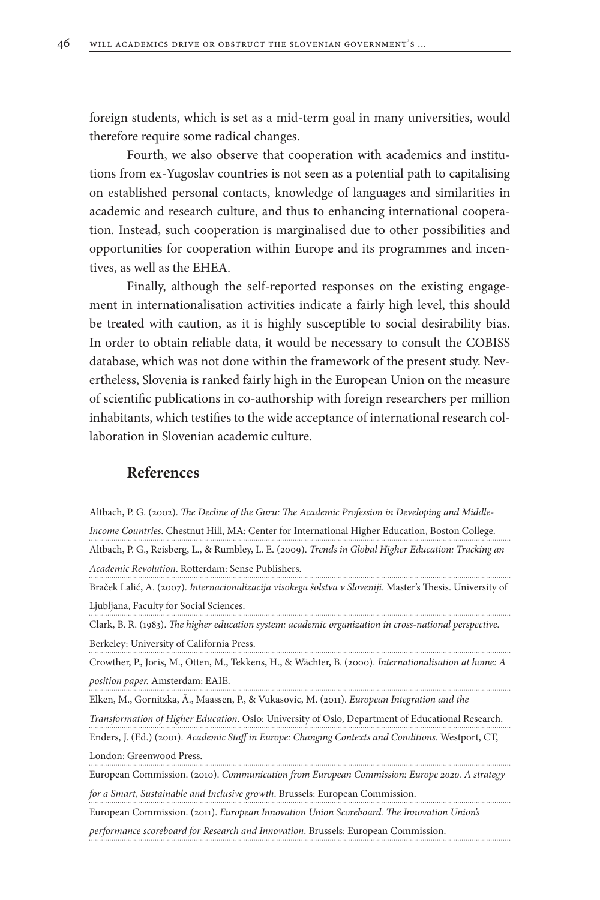foreign students, which is set as a mid-term goal in many universities, would therefore require some radical changes.

Fourth, we also observe that cooperation with academics and institutions from ex-Yugoslav countries is not seen as a potential path to capitalising on established personal contacts, knowledge of languages and similarities in academic and research culture, and thus to enhancing international cooperation. Instead, such cooperation is marginalised due to other possibilities and opportunities for cooperation within Europe and its programmes and incentives, as well as the EHEA.

Finally, although the self-reported responses on the existing engagement in internationalisation activities indicate a fairly high level, this should be treated with caution, as it is highly susceptible to social desirability bias. In order to obtain reliable data, it would be necessary to consult the COBISS database, which was not done within the framework of the present study. Nevertheless, Slovenia is ranked fairly high in the European Union on the measure of scientific publications in co-authorship with foreign researchers per million inhabitants, which testifies to the wide acceptance of international research collaboration in Slovenian academic culture.

### **References**

Altbach, P. G. (2002). *The Decline of the Guru: The Academic Profession in Developing and Middle-Income Countries*. Chestnut Hill, MA: Center for International Higher Education, Boston College. Altbach, P. G., Reisberg, L., & Rumbley, L. E. (2009). *Trends in Global Higher Education: Tracking an Academic Revolution*. Rotterdam: Sense Publishers.

Braček Lalić, A. (2007). *Internacionalizacija visokega šolstva v Sloveniji*. Master's Thesis. University of Ljubljana, Faculty for Social Sciences.

Clark, B. R. (1983). *The higher education system: academic organization in cross-national perspective.* Berkeley: University of California Press.

Crowther, P., Joris, M., Otten, M., Tekkens, H., & Wächter, B. (2000). *Internationalisation at home: A position paper.* Amsterdam: EAIE.

Elken, M., Gornitzka, Å., Maassen, P., & Vukasovic, M. (2011). *European Integration and the* 

*Transformation of Higher Education*. Oslo: University of Oslo, Department of Educational Research.

Enders, J. (Ed.) (2001). *Academic Staff in Europe: Changing Contexts and Conditions*. Westport, CT, London: Greenwood Press.

European Commission. (2010). *Communication from European Commission: Europe 2020. A strategy for a Smart, Sustainable and Inclusive growth*. Brussels: European Commission.

European Commission. (2011). *European Innovation Union Scoreboard. The Innovation Union's performance scoreboard for Research and Innovation*. Brussels: European Commission.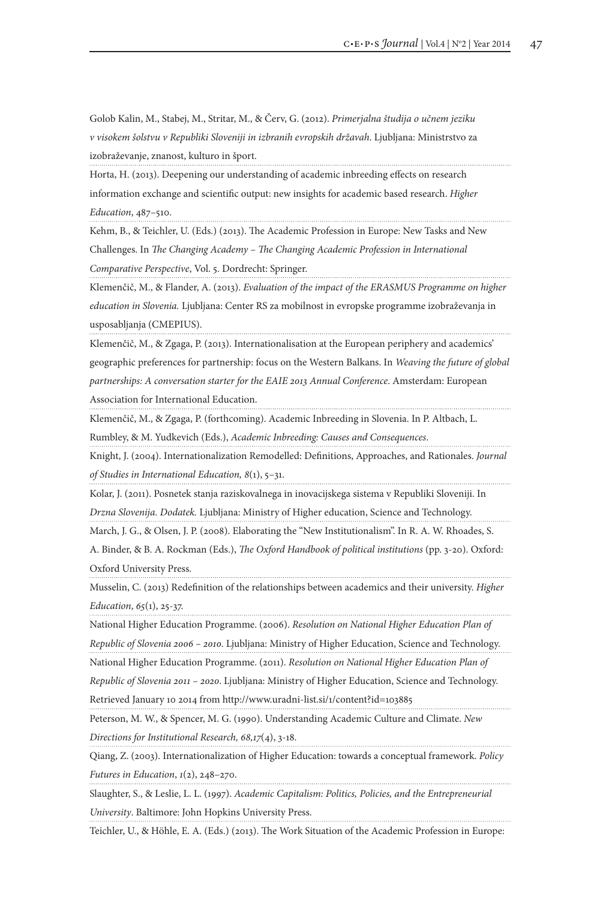Golob Kalin, M., Stabej, M., Stritar, M., & Červ, G. (2012). *Primerjalna študija o učnem jeziku v visokem šolstvu v Republiki Sloveniji in izbranih evropskih državah*. Ljubljana: Ministrstvo za izobraževanje, znanost, kulturo in šport.

Horta, H. (2013). Deepening our understanding of academic inbreeding effects on research information exchange and scientific output: new insights for academic based research. *Higher Education*, 487–510.

Kehm, B., & Teichler, U. (Eds.) (2013). The Academic Profession in Europe: New Tasks and New Challenges. In *The Changing Academy – The Changing Academic Profession in International Comparative Perspective*, Vol. 5. Dordrecht: Springer.

Klemenčič, M., & Flander, A. (2013). *Evaluation of the impact of the ERASMUS Programme on higher education in Slovenia.* Ljubljana: Center RS za mobilnost in evropske programme izobraževanja in usposabljanja (CMEPIUS).

Klemenčič, M., & Zgaga, P. (2013). Internationalisation at the European periphery and academics' geographic preferences for partnership: focus on the Western Balkans. In *Weaving the future of global partnerships: A conversation starter for the EAIE 2013 Annual Conference*. Amsterdam: European Association for International Education.

Klemenčič, M., & Zgaga, P. (forthcoming). Academic Inbreeding in Slovenia. In P. Altbach, L. Rumbley, & M. Yudkevich (Eds.), *Academic Inbreeding: Causes and Consequences*.

Knight, J. (2004). Internationalization Remodelled: Definitions, Approaches, and Rationales. *Journal of Studies in International Education, 8*(1), 5–31.

Kolar, J. (2011). Posnetek stanja raziskovalnega in inovacijskega sistema v Republiki Sloveniji. In

*Drzna Slovenija. Dodatek.* Ljubljana: Ministry of Higher education, Science and Technology.

March, J. G., & Olsen, J. P. (2008). Elaborating the "New Institutionalism". In R. A. W. Rhoades, S.

A. Binder, & B. A. Rockman (Eds.), *The Oxford Handbook of political institutions* (pp. 3-20). Oxford: Oxford University Press.

Musselin, C. (2013) Redefinition of the relationships between academics and their university. *Higher Education*, *65*(1), 25-37.

National Higher Education Programme. (2006). *Resolution on National Higher Education Plan of Republic of Slovenia 2006 – 2010*. Ljubljana: Ministry of Higher Education, Science and Technology.

National Higher Education Programme. (2011). *Resolution on National Higher Education Plan of* 

*Republic of Slovenia 2011 – 2020*. Ljubljana: Ministry of Higher Education, Science and Technology. Retrieved January 10 2014 from http://www.uradni-list.si/1/content?id=103885

Peterson, M. W., & Spencer, M. G. (1990). Understanding Academic Culture and Climate. *New* 

*Directions for Institutional Research, 68,17*(4), 3-18.

Qiang, Z. (2003). Internationalization of Higher Education: towards a conceptual framework. *Policy* 

*Futures in Education*, *1*(2), 248–270.

Slaughter, S., & Leslie, L. L. (1997). *Academic Capitalism: Politics, Policies, and the Entrepreneurial University*. Baltimore: John Hopkins University Press.

Teichler, U., & Höhle, E. A. (Eds.) (2013). The Work Situation of the Academic Profession in Europe: